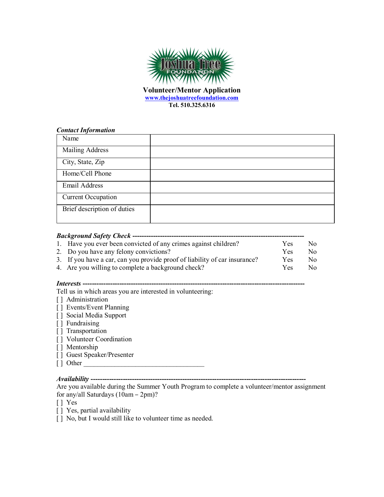

**Volunteer/Mentor Application www.thejoshuatreefoundation.com Tel. 510.325.6316**

#### *Contact Information*

| Name                        |  |
|-----------------------------|--|
| <b>Mailing Address</b>      |  |
| City, State, Zip            |  |
| Home/Cell Phone             |  |
| Email Address               |  |
| <b>Current Occupation</b>   |  |
| Brief description of duties |  |

### *Background Safety Check* **---------------------------------------------------------------------------** 1. Have you ever been convicted of any crimes against children? Yes No

| The state for ever over conviewed of any emilier against emiliar em-       |      |     |
|----------------------------------------------------------------------------|------|-----|
| 2. Do you have any felony convictions?                                     | Yes. | No. |
| 3. If you have a car, can you provide proof of liability of car insurance? | Yes. | No. |
| 4. Are you willing to complete a background check?                         | Yes. | No. |

## *Interests* **-------------------------------------------------------------------------------------------------**

Tell us in which areas you are interested in volunteering:

- [] Administration
- [] Events/Event Planning
- [ ] Social Media Support
- [ ] Fundraising
- [] Transportation
- [] Volunteer Coordination
- [ ] Mentorship
- [ ] Guest Speaker/Presenter
- $\lceil \, \rceil$  Other

# *Availability* **----------------------------------------------------------------------------------------------**

Are you available during the Summer Youth Program to complete a volunteer/mentor assignment for any/all Saturdays (10am – 2pm)?

[ ] Yes

- [] Yes, partial availability
- [] No, but I would still like to volunteer time as needed.